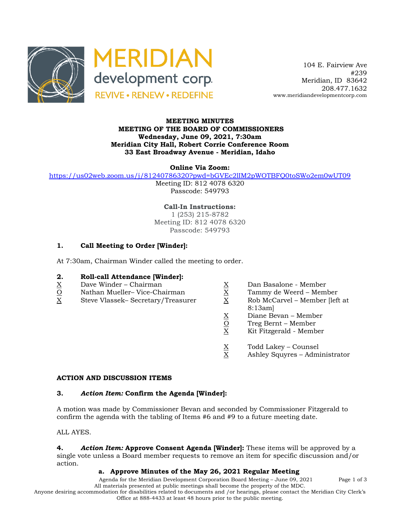



 104 E. Fairview Ave #239 Meridian, ID 83642 208.477.1632 www.meridiandevelopmentcorp.com

### **MEETING MINUTES MEETING OF THE BOARD OF COMMISSIONERS Wednesday, June 09, 2021, 7:30am Meridian City Hall, Robert Corrie Conference Room 33 East Broadway Avenue - Meridian, Idaho**

**Online Via Zoom:** 

https://us02web.zoom.us/j/81240786320?pwd=bGVEc2lIM2pWOTBFQ0toSWo2em0wUT09

Meeting ID: 812 4078 6320 Passcode: 549793

**Call-In Instructions:** 1 (253) 215-8782 Meeting ID: 812 4078 6320 Passcode: 549793

# **1. Call Meeting to Order [Winder]:**

At 7:30am, Chairman Winder called the meeting to order.

## **2. Roll-call Attendance [Winder]:**

- 
- $\begin{array}{ll}\nX \\
\hline\n\text{O}\n\end{array}$  Dave Winder Chairman  $\begin{array}{ll}\nX \\
\hline\n\text{O}\n\end{array}$  Dan Basalone Member<br>
X Steve Vlassek– Secretary/Treasurer X Rob McCarvel Member  $\frac{Q}{X}$  Nathan Mueller– Vice-Chairman  $\frac{X}{X}$  Tammy de Weerd – Member II<br>X Steve Vlassek– Secretary/Treasurer  $\frac{X}{X}$  Rob McCarvel – Member IIefl
- 
- 
- 
- X Steve Vlassek– Secretary/Treasurer X Rob McCarvel Member [left at 8:13am]
	- $\underline{X}$  Diane Bevan Member<br>  $\underline{O}$  Treg Bernt Member<br>  $\underline{X}$  Kit Fitzgerald Member
	- Treg Bernt Member
	- X Kit Fitzgerald Member
	- $\frac{X}{X}$  Todd Lakey Counsel<br>X Ashley Squyres Adm
	- Ashley Squyres Administrator

#### **ACTION AND DISCUSSION ITEMS**

#### **3.** *Action Item:* **Confirm the Agenda [Winder]:**

A motion was made by Commissioner Bevan and seconded by Commissioner Fitzgerald to confirm the agenda with the tabling of Items #6 and #9 to a future meeting date.

ALL AYES.

**4.** *Action Item:* **Approve Consent Agenda [Winder]:** These items will be approved by a single vote unless a Board member requests to remove an item for specific discussion and/or action.

#### **a. Approve Minutes of the May 26, 2021 Regular Meeting**

Agenda for the Meridian Development Corporation Board Meeting – June 09, 2021 Page 1 of 3 All materials presented at public meetings shall become the property of the MDC.

Anyone desiring accommodation for disabilities related to documents and /or hearings, please contact the Meridian City Clerk's Office at 888-4433 at least 48 hours prior to the public meeting.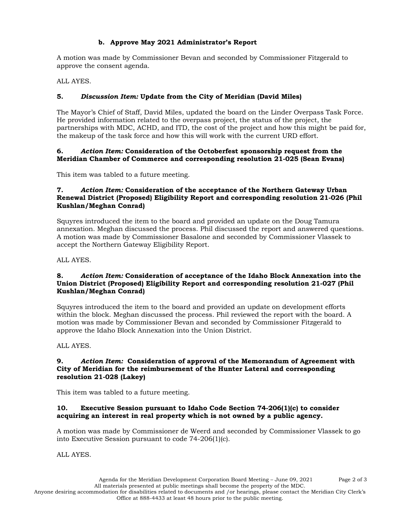# **b. Approve May 2021 Administrator's Report**

A motion was made by Commissioner Bevan and seconded by Commissioner Fitzgerald to approve the consent agenda.

ALL AYES.

# **5.** *Discussion Item:* **Update from the City of Meridian (David Miles)**

The Mayor's Chief of Staff, David Miles, updated the board on the Linder Overpass Task Force. He provided information related to the overpass project, the status of the project, the partnerships with MDC, ACHD, and ITD, the cost of the project and how this might be paid for, the makeup of the task force and how this will work with the current URD effort.

### **6.** *Action Item:* **Consideration of the Octoberfest sponsorship request from the Meridian Chamber of Commerce and corresponding resolution 21-025 (Sean Evans)**

This item was tabled to a future meeting.

### **7.** *Action Item:* **Consideration of the acceptance of the Northern Gateway Urban Renewal District (Proposed) Eligibility Report and corresponding resolution 21-026 (Phil Kushlan/Meghan Conrad)**

Squyres introduced the item to the board and provided an update on the Doug Tamura annexation. Meghan discussed the process. Phil discussed the report and answered questions. A motion was made by Commissioner Basalone and seconded by Commissioner Vlassek to accept the Northern Gateway Eligibility Report.

ALL AYES.

### **8.** *Action Item:* **Consideration of acceptance of the Idaho Block Annexation into the Union District (Proposed) Eligibility Report and corresponding resolution 21-027 (Phil Kushlan/Meghan Conrad)**

Squyres introduced the item to the board and provided an update on development efforts within the block. Meghan discussed the process. Phil reviewed the report with the board. A motion was made by Commissioner Bevan and seconded by Commissioner Fitzgerald to approve the Idaho Block Annexation into the Union District.

ALL AYES.

### **9.** *Action Item:* **Consideration of approval of the Memorandum of Agreement with City of Meridian for the reimbursement of the Hunter Lateral and corresponding resolution 21-028 (Lakey)**

This item was tabled to a future meeting.

## **10. Executive Session pursuant to Idaho Code Section 74-206(1)(c) to consider acquiring an interest in real property which is not owned by a public agency.**

A motion was made by Commissioner de Weerd and seconded by Commissioner Vlassek to go into Executive Session pursuant to code 74-206(1)(c).

ALL AYES.